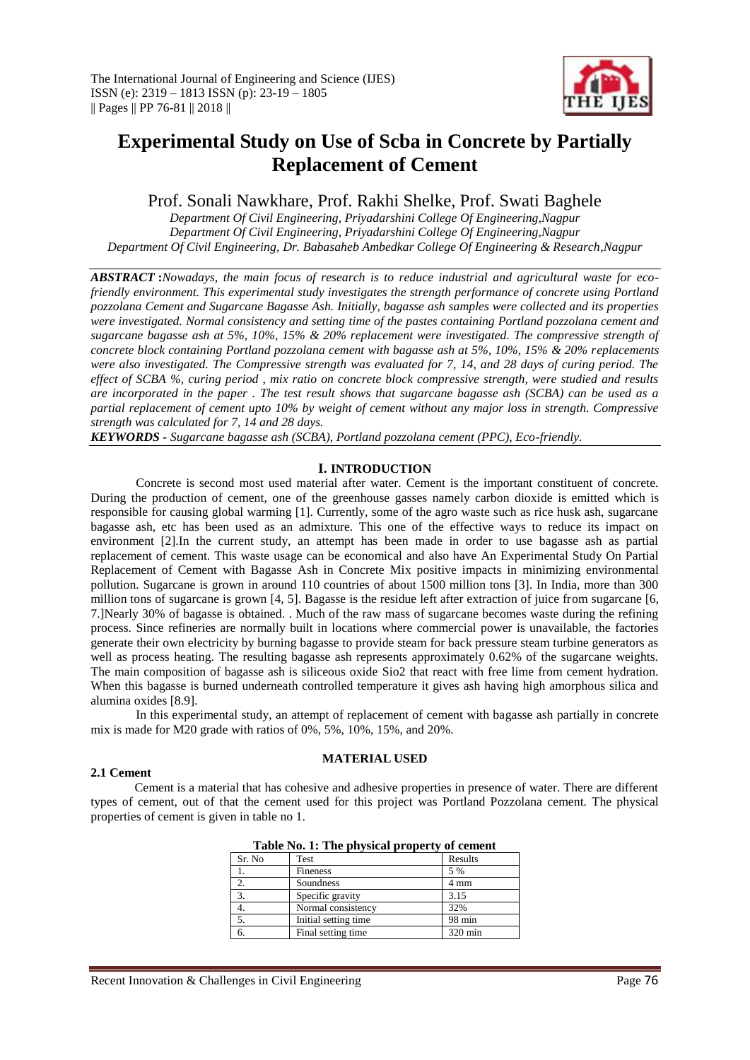

# **Experimental Study on Use of Scba in Concrete by Partially Replacement of Cement**

Prof. Sonali Nawkhare, Prof. Rakhi Shelke, Prof. Swati Baghele

*Department Of Civil Engineering, Priyadarshini College Of Engineering,Nagpur Department Of Civil Engineering, Priyadarshini College Of Engineering,Nagpur Department Of Civil Engineering, Dr. Babasaheb Ambedkar College Of Engineering & Research,Nagpur*

*ABSTRACT* **:***Nowadays, the main focus of research is to reduce industrial and agricultural waste for ecofriendly environment. This experimental study investigates the strength performance of concrete using Portland pozzolana Cement and Sugarcane Bagasse Ash. Initially, bagasse ash samples were collected and its properties were investigated. Normal consistency and setting time of the pastes containing Portland pozzolana cement and sugarcane bagasse ash at 5%, 10%, 15% & 20% replacement were investigated. The compressive strength of concrete block containing Portland pozzolana cement with bagasse ash at 5%, 10%, 15% & 20% replacements were also investigated. The Compressive strength was evaluated for 7, 14, and 28 days of curing period. The effect of SCBA %, curing period , mix ratio on concrete block compressive strength, were studied and results are incorporated in the paper . The test result shows that sugarcane bagasse ash (SCBA) can be used as a partial replacement of cement upto 10% by weight of cement without any major loss in strength. Compressive strength was calculated for 7, 14 and 28 days.* 

*KEYWORDS - Sugarcane bagasse ash (SCBA), Portland pozzolana cement (PPC), Eco-friendly.* 

# **I. INTRODUCTION**

Concrete is second most used material after water. Cement is the important constituent of concrete. During the production of cement, one of the greenhouse gasses namely carbon dioxide is emitted which is responsible for causing global warming [1]. Currently, some of the agro waste such as rice husk ash, sugarcane bagasse ash, etc has been used as an admixture. This one of the effective ways to reduce its impact on environment [2].In the current study, an attempt has been made in order to use bagasse ash as partial replacement of cement. This waste usage can be economical and also have An Experimental Study On Partial Replacement of Cement with Bagasse Ash in Concrete Mix positive impacts in minimizing environmental pollution. Sugarcane is grown in around 110 countries of about 1500 million tons [3]. In India, more than 300 million tons of sugarcane is grown [4, 5]. Bagasse is the residue left after extraction of juice from sugarcane [6, 7.]Nearly 30% of bagasse is obtained. . Much of the raw mass of sugarcane becomes waste during the refining process. Since refineries are normally built in locations where commercial power is unavailable, the factories generate their own electricity by burning bagasse to provide steam for back pressure steam turbine generators as well as process heating. The resulting bagasse ash represents approximately 0.62% of the sugarcane weights. The main composition of bagasse ash is siliceous oxide Sio2 that react with free lime from cement hydration. When this bagasse is burned underneath controlled temperature it gives ash having high amorphous silica and alumina oxides [8.9].

In this experimental study, an attempt of replacement of cement with bagasse ash partially in concrete mix is made for M20 grade with ratios of 0%, 5%, 10%, 15%, and 20%.

**MATERIAL USED**

# **2.1 Cement**

Cement is a material that has cohesive and adhesive properties in presence of water. There are different types of cement, out of that the cement used for this project was Portland Pozzolana cement. The physical properties of cement is given in table no 1.

| Sr. No | Test                 | Results |
|--------|----------------------|---------|
|        | Fineness             | 5 %     |
| 2.     | Soundness            | 4 mm    |
| 3.     | Specific gravity     | 3.15    |
|        | Normal consistency   | 32%     |
| 5.     | Initial setting time | 98 min  |
|        | Final setting time   | 320 min |
|        |                      |         |

**Table No. 1: The physical property of cement**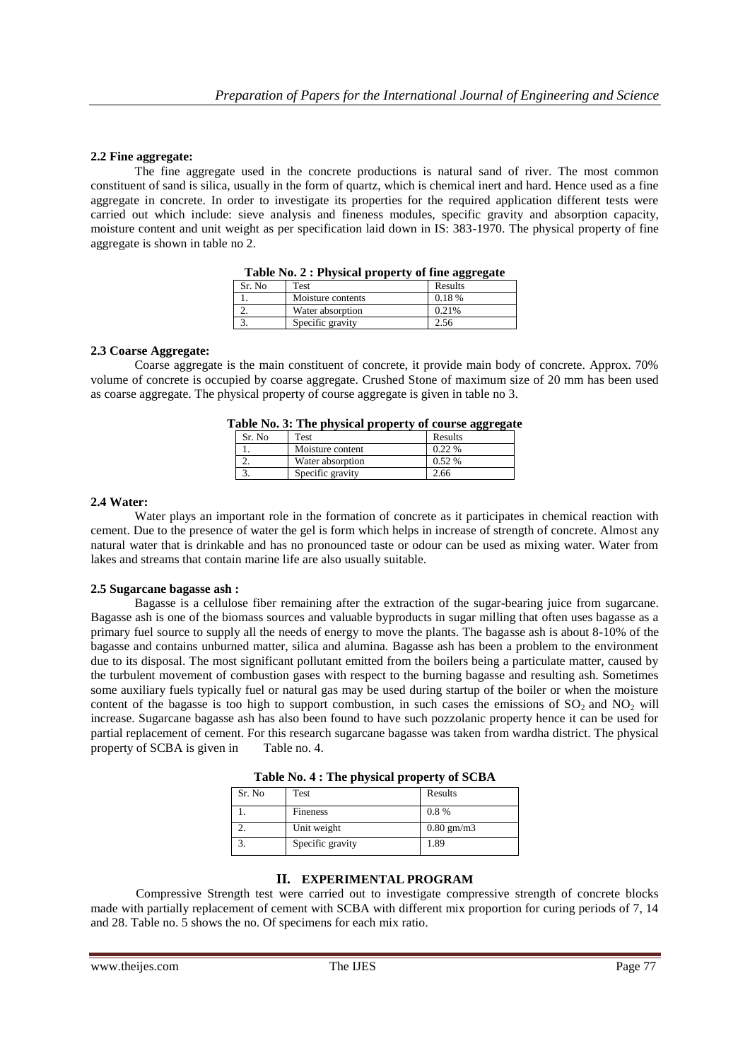# **2.2 Fine aggregate:**

The fine aggregate used in the concrete productions is natural sand of river. The most common constituent of sand is silica, usually in the form of quartz, which is chemical inert and hard. Hence used as a fine aggregate in concrete. In order to investigate its properties for the required application different tests were carried out which include: sieve analysis and fineness modules, specific gravity and absorption capacity, moisture content and unit weight as per specification laid down in IS: 383-1970. The physical property of fine aggregate is shown in table no 2.

| Table No. 2: Filysical property of thie aggregate |                   |         |  |
|---------------------------------------------------|-------------------|---------|--|
| Sr. No.                                           | Test              | Results |  |
|                                                   | Moisture contents | 0.18 %  |  |
|                                                   | Water absorption  | 0.21%   |  |
|                                                   | Specific gravity  | 2.56    |  |

|  |  |  | Table No. 2 : Physical property of fine aggregate |
|--|--|--|---------------------------------------------------|
|--|--|--|---------------------------------------------------|

#### **2.3 Coarse Aggregate:**

Coarse aggregate is the main constituent of concrete, it provide main body of concrete. Approx. 70% volume of concrete is occupied by coarse aggregate. Crushed Stone of maximum size of 20 mm has been used as coarse aggregate. The physical property of course aggregate is given in table no 3.

|        | abic Tw. S. The physical property of course aggregat |         |
|--------|------------------------------------------------------|---------|
| Sr. No | Test                                                 | Results |
|        | Moisture content                                     | 0.22%   |
|        | Water absorption                                     | 0.52 %  |
|        | Specific gravity                                     | 2.66    |

**Table No. 3: The physical property of course aggregate**

#### **2.4 Water:**

Water plays an important role in the formation of concrete as it participates in chemical reaction with cement. Due to the presence of water the gel is form which helps in increase of strength of concrete. Almost any natural water that is drinkable and has no pronounced taste or odour can be used as mixing water. Water from lakes and streams that contain marine life are also usually suitable.

#### **2.5 Sugarcane bagasse ash :**

Bagasse is a cellulose fiber remaining after the extraction of the sugar-bearing juice from sugarcane. Bagasse ash is one of the biomass sources and valuable byproducts in sugar milling that often uses bagasse as a primary fuel source to supply all the needs of energy to move the plants. The bagasse ash is about 8-10% of the bagasse and contains unburned matter, silica and alumina. Bagasse ash has been a problem to the environment due to its disposal. The most significant pollutant emitted from the boilers being a particulate matter, caused by the turbulent movement of combustion gases with respect to the burning bagasse and resulting ash. Sometimes some auxiliary fuels typically fuel or natural gas may be used during startup of the boiler or when the moisture content of the bagasse is too high to support combustion, in such cases the emissions of  $SO_2$  and  $NO_2$  will increase. Sugarcane bagasse ash has also been found to have such pozzolanic property hence it can be used for partial replacement of cement. For this research sugarcane bagasse was taken from wardha district. The physical property of SCBA is given in Table no. 4.

| Sr. No | . .<br>Test      | Results      |
|--------|------------------|--------------|
|        | Fineness         | 0.8%         |
|        | Unit weight      | $0.80$ gm/m3 |
|        | Specific gravity | 1.89         |

**Table No. 4 : The physical property of SCBA**

#### **II. EXPERIMENTAL PROGRAM**

Compressive Strength test were carried out to investigate compressive strength of concrete blocks made with partially replacement of cement with SCBA with different mix proportion for curing periods of 7, 14 and 28. Table no. 5 shows the no. Of specimens for each mix ratio.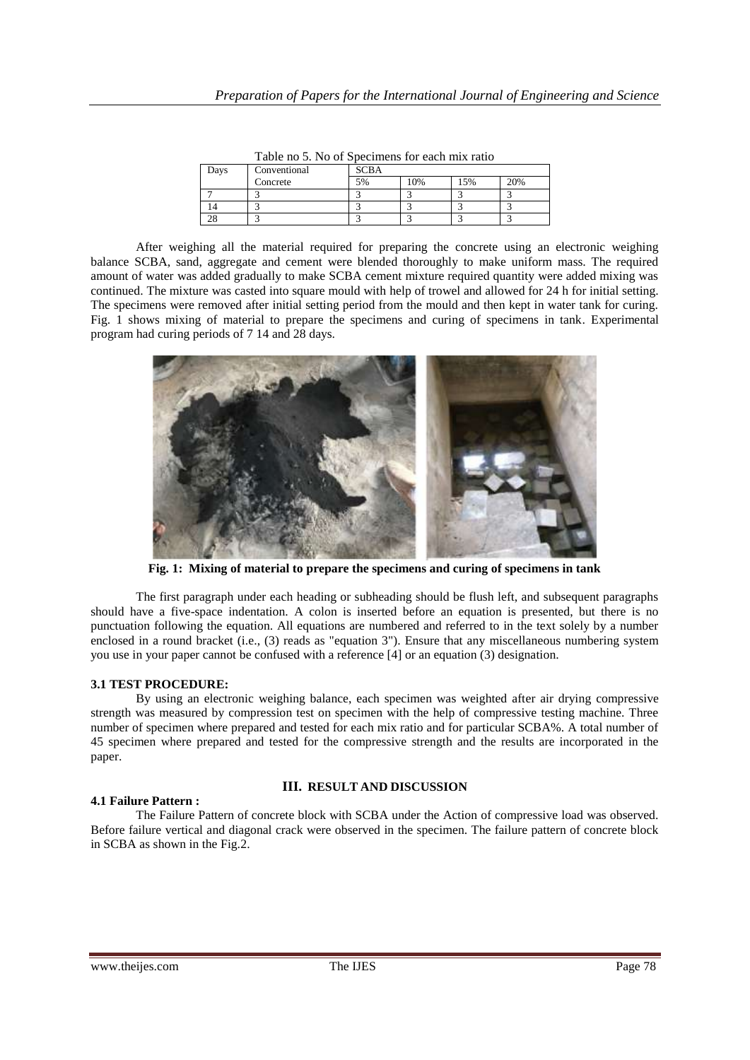| Days | Conventional | <b>SCBA</b> |    |     |     |
|------|--------------|-------------|----|-----|-----|
|      | Concrete     | 5%          | 0% | 15% | 20% |
|      |              |             |    |     |     |
|      |              |             |    |     |     |
|      |              |             |    |     |     |

Table no 5. No of Specimens for each mix ratio

After weighing all the material required for preparing the concrete using an electronic weighing balance SCBA, sand, aggregate and cement were blended thoroughly to make uniform mass. The required amount of water was added gradually to make SCBA cement mixture required quantity were added mixing was continued. The mixture was casted into square mould with help of trowel and allowed for 24 h for initial setting. The specimens were removed after initial setting period from the mould and then kept in water tank for curing. Fig. 1 shows mixing of material to prepare the specimens and curing of specimens in tank. Experimental program had curing periods of 7 14 and 28 days.



**Fig. 1: Mixing of material to prepare the specimens and curing of specimens in tank**

The first paragraph under each heading or subheading should be flush left, and subsequent paragraphs should have a five-space indentation. A colon is inserted before an equation is presented, but there is no punctuation following the equation. All equations are numbered and referred to in the text solely by a number enclosed in a round bracket (i.e., (3) reads as "equation 3"). Ensure that any miscellaneous numbering system you use in your paper cannot be confused with a reference [4] or an equation (3) designation.

# **3.1 TEST PROCEDURE:**

By using an electronic weighing balance, each specimen was weighted after air drying compressive strength was measured by compression test on specimen with the help of compressive testing machine. Three number of specimen where prepared and tested for each mix ratio and for particular SCBA%. A total number of 45 specimen where prepared and tested for the compressive strength and the results are incorporated in the paper.

# **III. RESULT AND DISCUSSION**

# **4.1 Failure Pattern :**

The Failure Pattern of concrete block with SCBA under the Action of compressive load was observed. Before failure vertical and diagonal crack were observed in the specimen. The failure pattern of concrete block in SCBA as shown in the Fig.2.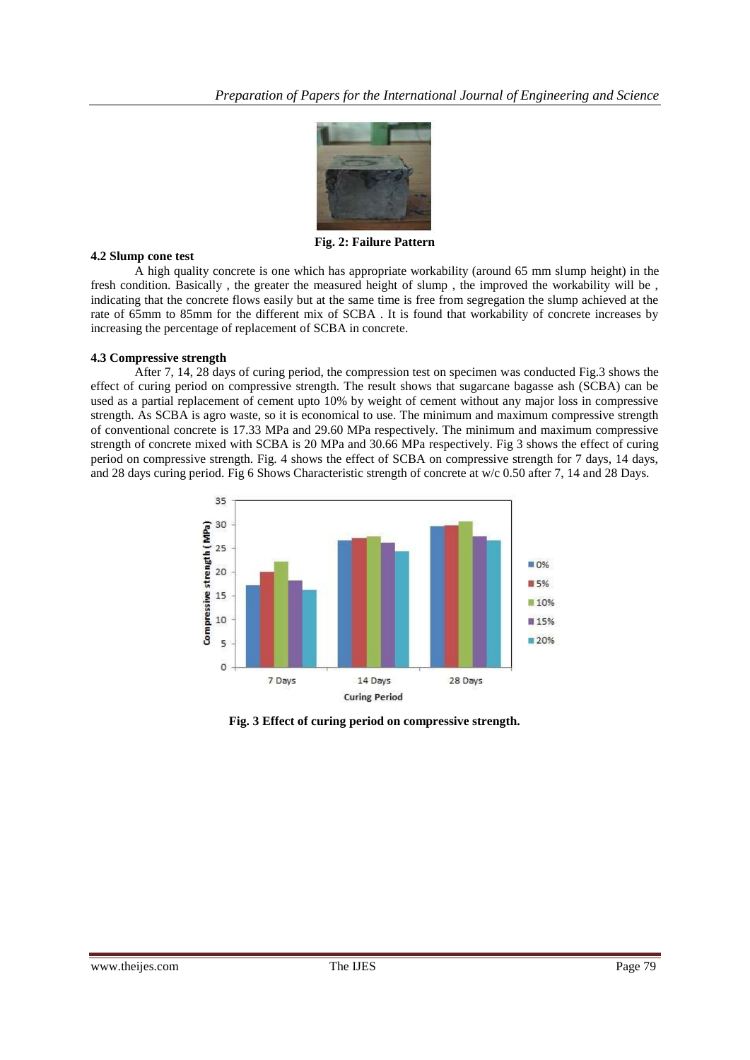

**Fig. 2: Failure Pattern**

# **4.2 Slump cone test**

A high quality concrete is one which has appropriate workability (around 65 mm slump height) in the fresh condition. Basically , the greater the measured height of slump , the improved the workability will be , indicating that the concrete flows easily but at the same time is free from segregation the slump achieved at the rate of 65mm to 85mm for the different mix of SCBA . It is found that workability of concrete increases by increasing the percentage of replacement of SCBA in concrete.

# **4.3 Compressive strength**

After 7, 14, 28 days of curing period, the compression test on specimen was conducted Fig.3 shows the effect of curing period on compressive strength. The result shows that sugarcane bagasse ash (SCBA) can be used as a partial replacement of cement upto 10% by weight of cement without any major loss in compressive strength. As SCBA is agro waste, so it is economical to use. The minimum and maximum compressive strength of conventional concrete is 17.33 MPa and 29.60 MPa respectively. The minimum and maximum compressive strength of concrete mixed with SCBA is 20 MPa and 30.66 MPa respectively. Fig 3 shows the effect of curing period on compressive strength. Fig. 4 shows the effect of SCBA on compressive strength for 7 days, 14 days, and 28 days curing period. Fig 6 Shows Characteristic strength of concrete at w/c 0.50 after 7, 14 and 28 Days.



**Fig. 3 Effect of curing period on compressive strength.**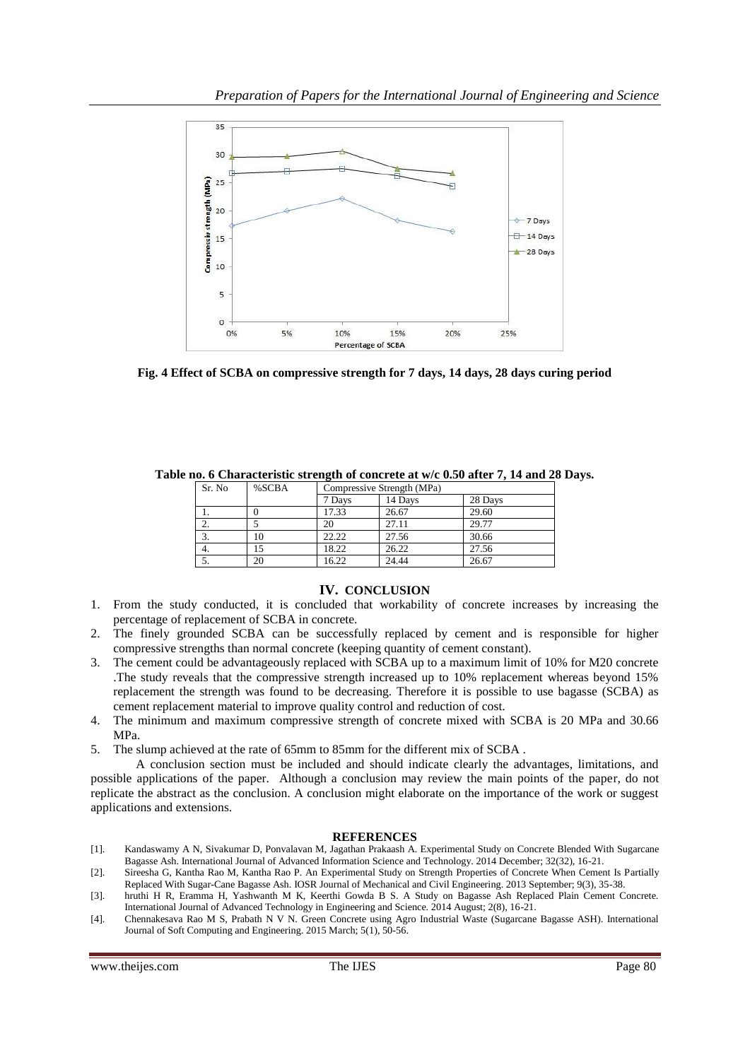

**Fig. 4 Effect of SCBA on compressive strength for 7 days, 14 days, 28 days curing period**

| Sr. No | %SCBA | Compressive Strength (MPa) |         |         |
|--------|-------|----------------------------|---------|---------|
|        |       | 7 Days                     | 14 Days | 28 Days |
|        |       | 17.33                      | 26.67   | 29.60   |
|        |       | 20                         | 27.11   | 29.77   |
| 3.     | 10    | 22.22                      | 27.56   | 30.66   |
| 4.     |       | 18.22                      | 26.22   | 27.56   |
|        | 20    | 16.22                      | 24.44   | 26.67   |

**Table no. 6 Characteristic strength of concrete at w/c 0.50 after 7, 14 and 28 Days.**

# **IV. CONCLUSION**

- 1. From the study conducted, it is concluded that workability of concrete increases by increasing the percentage of replacement of SCBA in concrete.
- 2. The finely grounded SCBA can be successfully replaced by cement and is responsible for higher compressive strengths than normal concrete (keeping quantity of cement constant).
- 3. The cement could be advantageously replaced with SCBA up to a maximum limit of 10% for M20 concrete .The study reveals that the compressive strength increased up to 10% replacement whereas beyond 15% replacement the strength was found to be decreasing. Therefore it is possible to use bagasse (SCBA) as cement replacement material to improve quality control and reduction of cost.
- 4. The minimum and maximum compressive strength of concrete mixed with SCBA is 20 MPa and 30.66 MPa.
- 5. The slump achieved at the rate of 65mm to 85mm for the different mix of SCBA .

A conclusion section must be included and should indicate clearly the advantages, limitations, and possible applications of the paper. Although a conclusion may review the main points of the paper, do not replicate the abstract as the conclusion. A conclusion might elaborate on the importance of the work or suggest applications and extensions.

# **REFERENCES**

- [1]. Kandaswamy A N, Sivakumar D, Ponvalavan M, Jagathan Prakaash A. Experimental Study on Concrete Blended With Sugarcane Bagasse Ash. International Journal of Advanced Information Science and Technology. 2014 December; 32(32), 16-21.
- [2]. Sireesha G, Kantha Rao M, Kantha Rao P. An Experimental Study on Strength Properties of Concrete When Cement Is Partially Replaced With Sugar-Cane Bagasse Ash. IOSR Journal of Mechanical and Civil Engineering. 2013 September; 9(3), 35-38.
- [3]. hruthi H R, Eramma H, Yashwanth M K, Keerthi Gowda B S. A Study on Bagasse Ash Replaced Plain Cement Concrete. International Journal of Advanced Technology in Engineering and Science. 2014 August; 2(8), 16-21.
- [4]. Chennakesava Rao M S, Prabath N V N. Green Concrete using Agro Industrial Waste (Sugarcane Bagasse ASH). International Journal of Soft Computing and Engineering. 2015 March; 5(1), 50-56.